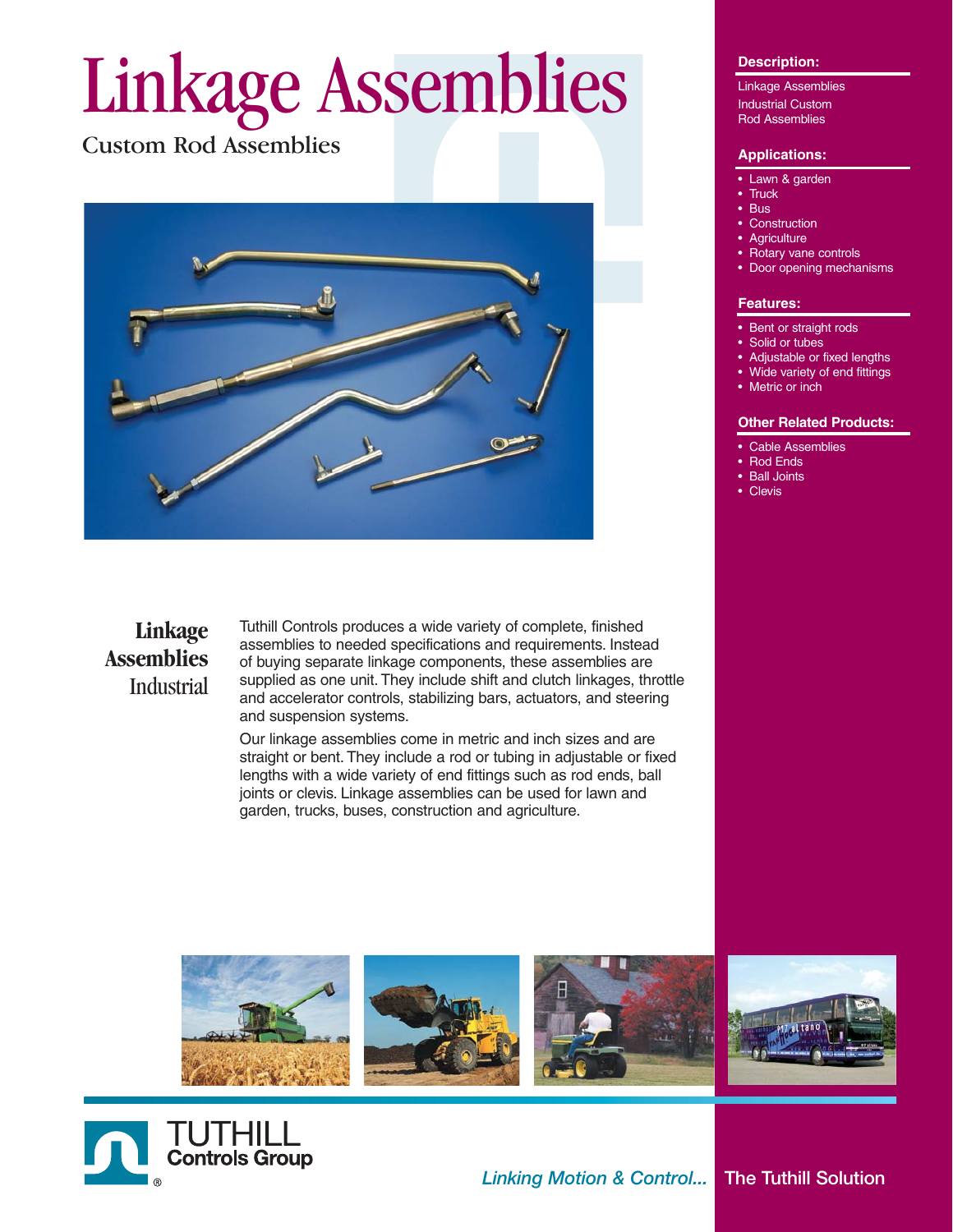# Linkage Assemblies

Custom Rod Assemblies



### **Linkage Assemblies** Industrial

Tuthill Controls produces a wide variety of complete, finished assemblies to needed specifications and requirements. Instead of buying separate linkage components, these assemblies are supplied as one unit. They include shift and clutch linkages, throttle and accelerator controls, stabilizing bars, actuators, and steering and suspension systems.

Our linkage assemblies come in metric and inch sizes and are straight or bent. They include a rod or tubing in adjustable or fixed lengths with a wide variety of end fittings such as rod ends, ball joints or clevis. Linkage assemblies can be used for lawn and garden, trucks, buses, construction and agriculture.

#### **Description:**

Linkage Assemblies Industrial Custom Rod Assemblies

#### **Applications:**

- Lawn & garden
- **Truck**
- Bus
- Construction
- **Agriculture**
- Rotary vane controls
- Door opening mechanisms

#### **Features:**

- Bent or straight rods
- Solid or tubes
- Adjustable or fixed lengths
- Wide variety of end fittings
- Metric or inch

#### **Other Related Products:**

- Cable Assemblies
- Rod Ends
- **Ball Joints Clevis**